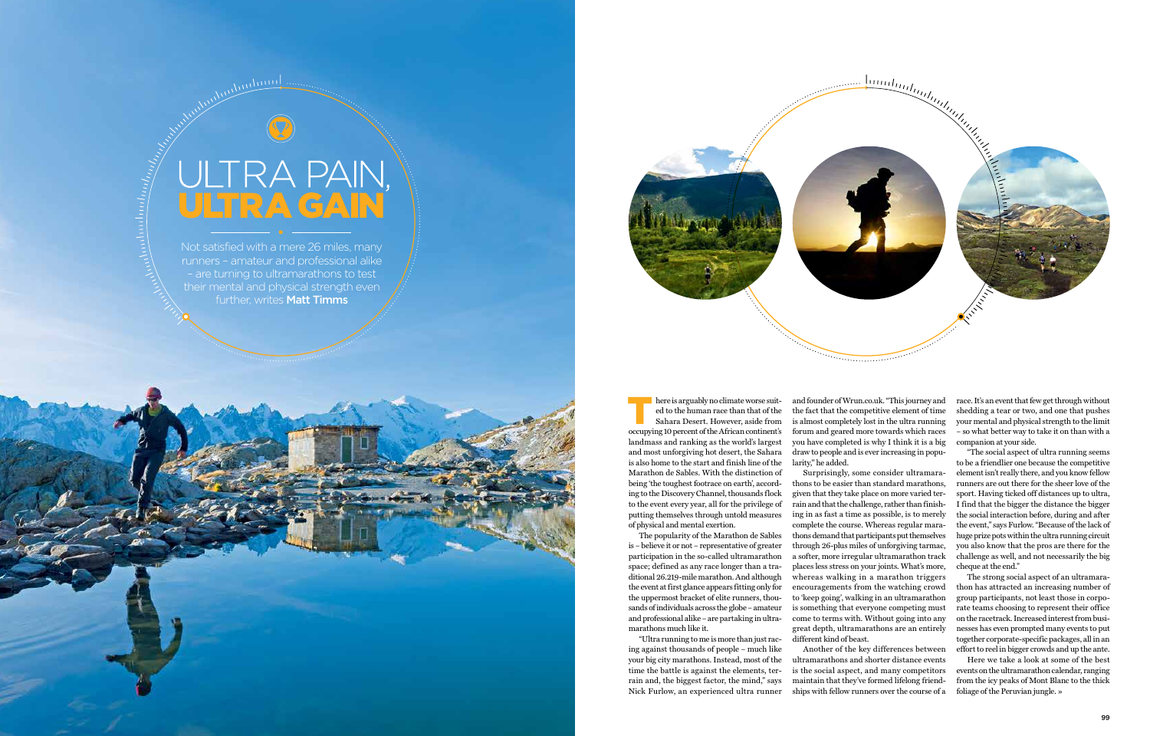# ULTRA PAIN,<br>ULTRA GAIN

Androdon

wuhum

Not satisfied with a mere 26 miles, many runners – amateur and professional alike – are turning to ultramarathons to test their mental and physical strength even further, writes Matt Timms



here is arguably no climate worse suited to the human race than that of the Sahara Desert. However, aside from occupying 10 percent of the African continent's landmass and ranking as the world's largest and most unforgiving hot desert, the Sahara is also home to the start and finish line of the Marathon de Sables. With the distinction of being 'the toughest footrace on earth', according to the Discovery Channel, thousands flock to the event every year, all for the privilege of putting themselves through untold measures of physical and mental exertion.

and founder of Wrun.co.uk. "This journey and the fact that the competitive element of time is almost completely lost in the ultra running forum and geared more towards which races you have completed is why I think it is a big draw to people and is ever increasing in popularity," he added. here is arguably no climate worse suit-<br>and founder of Wrun.co.uk. "This journey and race. It's an event that few get through without<br>ed to the human race than that of the fact that the competitive element of time shedding

The popularity of the Marathon de Sables is – believe it or not – representative of greater participation in the so-called ultramarathon space; defined as any race longer than a traditional 26.219-mile marathon. And although the event at first glance appears fitting only for the uppermost bracket of elite runners, thousands of individuals across the globe – amateur and professional alike – are partaking in ultramarathons much like it.

"Ultra running to me is more than just racing against thousands of people – much like your big city marathons. Instead, most of the time the battle is against the elements, terrain and, the biggest factor, the mind," says Nick Furlow, an experienced ultra runner

Surprisingly, some consider ultramarathons to be easier than standard marathons, given that they take place on more varied terrain and that the challenge, rather than finishing in as fast a time as possible, is to merely complete the course. Whereas regular marathons demand that participants put themselves through 26-plus miles of unforgiving tarmac, a softer, more irregular ultramarathon track places less stress on your joints. What's more, whereas walking in a marathon triggers encouragements from the watching crowd to 'keep going', walking in an ultramarathon is something that everyone competing must come to terms with. Without going into any great depth, ultramarathons are an entirely different kind of beast.

Another of the key differences between ultramarathons and shorter distance events is the social aspect, and many competitors maintain that they've formed lifelong friendships with fellow runners over the course of a shedding a tear or two, and one that pushes your mental and physical strength to the limit – so what better way to take it on than with a companion at your side.

"The social aspect of ultra running seems to be a friendlier one because the competitive element isn't really there, and you know fellow runners are out there for the sheer love of the sport. Having ticked off distances up to ultra, I find that the bigger the distance the bigger the social interaction before, during and after the event," says Furlow. "Because of the lack of huge prize pots within the ultra running circuit you also know that the pros are there for the challenge as well, and not necessarily the big cheque at the end."

The strong social aspect of an ultramarathon has attracted an increasing number of group participants, not least those in corporate teams choosing to represent their office on the racetrack. Increased interest from businesses has even prompted many events to put together corporate-specific packages, all in an effort to reel in bigger crowds and up the ante.

Here we take a look at some of the best events on the ultramarathon calendar, ranging from the icy peaks of Mont Blanc to the thick foliage of the Peruvian jungle. »